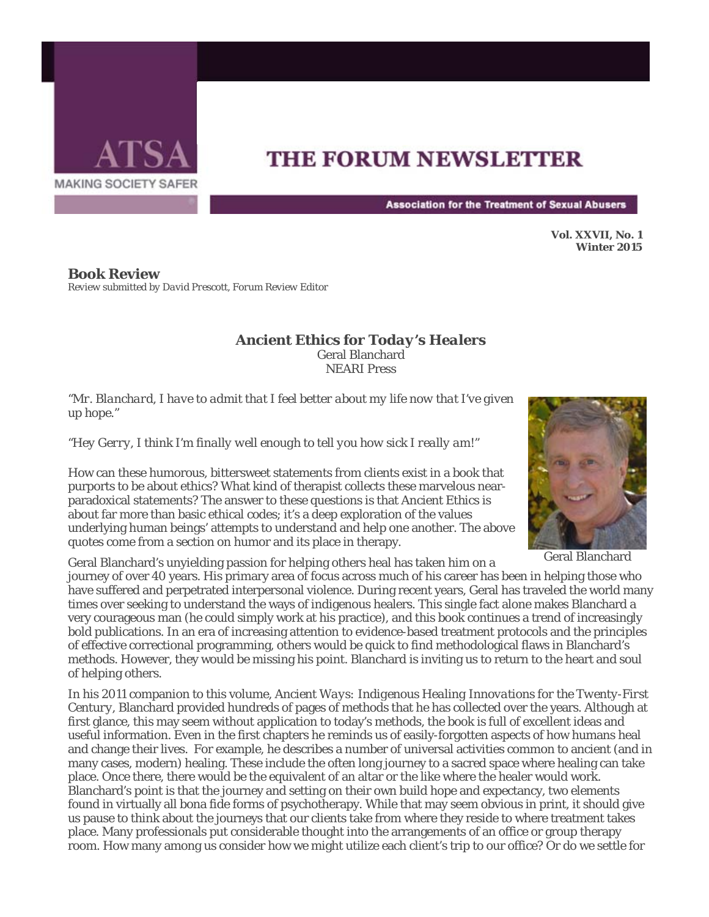

## **THE FORUM NEWSLETTER**

**Association for the Treatment of Sexual Abusers** 

**Vol. XXVII, No. 1 Winter 2015** 

**Book Review**  *Review submitted by David Prescott, Forum Review Editor* 

## *Ancient Ethics for Today's Healers* Geral Blanchard NEARI Press

*"Mr. Blanchard, I have to admit that I feel better about my life now that I've given up hope."*

*"Hey Gerry, I think I'm finally well enough to tell you how sick I really am!"*

How can these humorous, bittersweet statements from clients exist in a book that purports to be about ethics? What kind of therapist collects these marvelous nearparadoxical statements? The answer to these questions is that *Ancient Ethics* is about far more than basic ethical codes; it's a deep exploration of the values underlying human beings' attempts to understand and help one another. The above quotes come from a section on humor and its place in therapy.

Geral Blanchard's unyielding passion for helping others heal has taken him on a

journey of over 40 years. His primary area of focus across much of his career has been in helping those who have suffered and perpetrated interpersonal violence. During recent years, Geral has traveled the world many times over seeking to understand the ways of indigenous healers. This single fact alone makes Blanchard a very courageous man (he could simply work at his practice), and this book continues a trend of increasingly bold publications. In an era of increasing attention to evidence-based treatment protocols and the principles of effective correctional programming, others would be quick to find methodological flaws in Blanchard's methods. However, they would be missing his point. Blanchard is inviting us to return to the heart and soul of helping others.

In his 2011 companion to this volume, *Ancient Ways: Indigenous Healing Innovations for the Twenty-First Century,* Blanchard provided hundreds of pages of methods that he has collected over the years. Although at first glance, this may seem without application to today's methods, the book is full of excellent ideas and useful information. Even in the first chapters he reminds us of easily-forgotten aspects of how humans heal and change their lives. For example, he describes a number of universal activities common to ancient (and in many cases, modern) healing. These include the often long journey to a sacred space where healing can take place. Once there, there would be the equivalent of an altar or the like where the healer would work. Blanchard's point is that the journey and setting on their own build hope and expectancy, two elements found in virtually all bona fide forms of psychotherapy. While that may seem obvious in print, it should give us pause to think about the journeys that our clients take from where they reside to where treatment takes place. Many professionals put considerable thought into the arrangements of an office or group therapy room. How many among us consider how we might utilize each client's trip to our office? Or do we settle for



Geral Blanchard